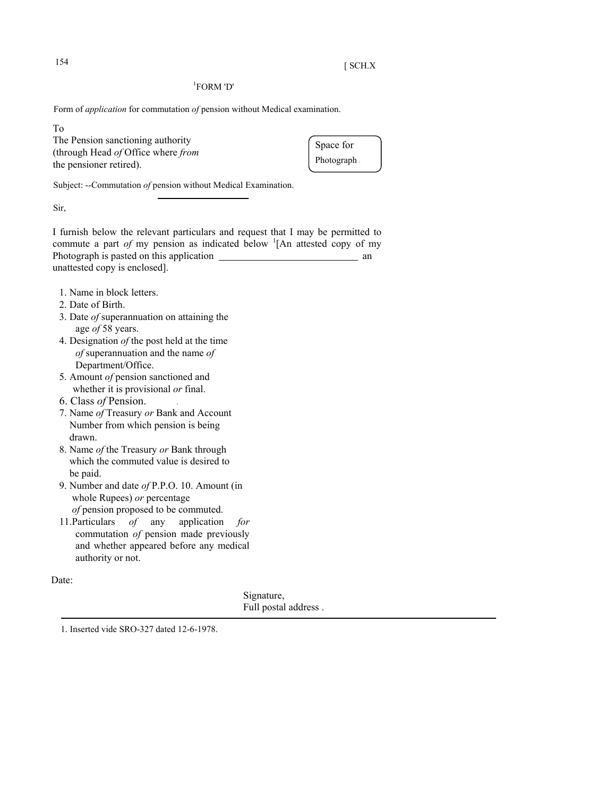## $154$  [ SCH.X

## 1 FORM 'D'

Form of *application* for commutation *of* pension without Medical examination.

To

The Pension sanctioning authority (through Head *of* Office where *from* the pensioner retired).

Space for Photograph

Subject: --Commutation *of* pension without Medical Examination.

Sir,

I furnish below the relevant particulars and request that I may be permitted to commute a part *of* my pension as indicated below  ${}^{1}$ [An attested copy of my Photograph is pasted on this application and the state of the state of the state of the state of the state of the state of the state of the state of the state of the state of the state of the state of the state of the stat unattested copy is enclosed].

- 1. Name in block letters.
- 2. Date of Birth.
- 3. Date *of* superannuation on attaining the age *of* 58 years.
- 4. Designation *of* the post held at the time  *of* superannuation and the name *of* Department/Office.
- 5. Amount *of* pension sanctioned and whether it is provisional *or* final.
- 6. Class *of* Pension. .
- 7. Name *of* Treasury *or* Bank and Account Number from which pension is being drawn.
- 8. Name *of* the Treasury *or* Bank through which the commuted value is desired to be paid.
- 9. Number and date *of* P.P.O. 10. Amount (in whole Rupees) *or* percentage  *of* pension proposed to be commuted.
- 11.Particulars *of* any application *for* commutation *of* pension made previously and whether appeared before any medical authority or not.

Date:

Signature, Full postal address .

1. Inserted vide SRO-327 dated 12-6-1978.